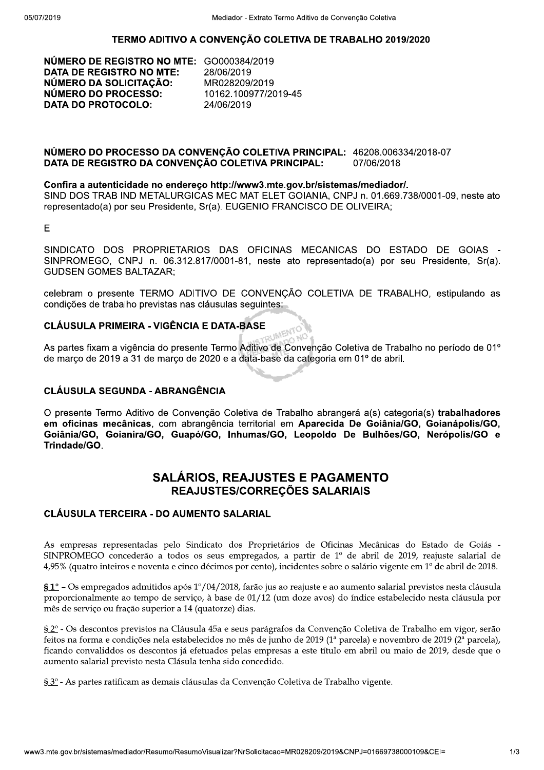## TERMO ADITIVO A CONVENCÃO COLETIVA DE TRABALHO 2019/2020

NUMERO DE REGISTRO NO MTE: GO000384/2019 DATA DE REGISTRO NO MTE: NÚMERO DA SOLICITAÇÃO: NÚMERO DO PROCESSO: DATA DO PROTOCOLO:

06/2019<br>......... MR028209/2019 10162.100977/2019-45 06/2019

#### $\overline{\text{NUMERO DO PROCESSO DA COMVENGAO COLE INA PRINCIPAL: } 46208.006334/2018-07$ DATA DE REGISTRO DA CONVENÇÃO COLETIVA PRINCIPAL: 06/2018

SIND DOS TRAB IND METALURGICAS MEC MAT ELET GOIANIA, CNPJ n. 01.669.738/0001-09, neste ato representado(a) por seu Presidente, Sr(a). EUGENIO FRANCISCO DE OLIVEIRA;

MÚMERO DO PROCESSO DA CONVENÇÃO COLETIVA PRINCIPAL: 46208.006334/2018<br>DATA DE REGISTRO DA CONVENÇÃO COLETIVA PRINCIPAL: 07/06/2018<br>Confira a autenticidade no endereço http://www3.mte.gov.br/sistemas/mediador/.<br>SIND DOS TRA NÚMERO DO PROCESSO DA CONVENÇÃO COLETIVA PRINCIPAL: 46208.006<br>DATA DE REGISTRO DA CONVENÇÃO COLETIVA PRINCIPAL: 07/06/2018<br>Confira a autenticidade no endereço http://www3.mte.gov.br/sistemas/mediado<br>SIND DOS TRAB IND METAL DATA DE REGISTRO DA CONVENÇÃO COLETIVA PRINCIPAL: 07/06/2018<br>
Confira a autenticidade no endereço http://www3.mte.gov.br/sistemas/mediador/.<br>
SIND DOS TRAB IND METALURGICAS MEC MAT ELET GOIANIA, CNPJ n. 01.669.738/0001-09, SINPROMEGO, CNPJ n. 06.312.817/0001-81, neste ato representado(a) por seu Presidente, Sr(a). Confira a autenticidade no endereço http://www3.mte.gov.br/sistemas/mediador/.<br>
SIND DOS TRAB IND METALURGICAS MEC MAT ELET GOIANIA, CNPJ n. 01.669.738/0001-09, neste ato<br>
representado(a) por seu Presidente, Sr(a). EUGENIO representado(a) por seu Presidente, Sr(a). EUGENIO FRANCISCO DE OLIVEIRA;<br>E<br>SINDICATO DOS PROPRIETARIOS DAS OFICINAS MECANICAS DO ESTADO DE<br>SINPROMEGO, CNPJ n. 06.312.817/0001-81, neste ato representado(a) por seu Presider

celebram o presente TERMO ADITIVO DE CONVENÇÃO COLETIVA DE TRABALHO, estipulando as condições de trabalho previstas nas clausulas seguintes:

# CLÁUSULA PRIMEIRA - VIGÊNCIA E DATA-BASE

As partes fixam a vigencia do presente Termo Aditivo de Convenção Coletiva de Trabalho no período de 01° de março de 2019 a 31 de março de 2020 e a data-base da categoria em 01° de abril.

# CLÁUSULA SEGUNDA - ABRANGÊNCIA

 $\sigma$  presente Termo Aditivo de Convenção Coletiva de Trabalho abrangera a(s) categoria(s) **trabalhadores** em oficinas mecanicas, com abrangencia territorial em Aparecida De Golania/GO, Golanapolis/GO, Goiânia/GO, Goianira/GO, Guapó/GO, Inhumas/GO, Leopoldo De Bulhões/GO, Nerópolis/GO e Trindade/GO.

# SALÁRIOS. REAJUSTES E PAGAMENTO REAJUSTES/CORREÇÕES SALARIAIS

# CLÁUSULA TERCEIRA - DO AUMENTO SALARIAL

As empresas representadas pelo Sindicato dos Proprietários de Oficinas Mecânicas do Estado de Goiás - $SINPROMEGO$  concederão a todos os seus empregados, a partir de 1<sup>o</sup> de abril de 2019, reajuste salarial de  $4.95\%$  (quatro inteiros e noventa e cinco décimos por cento), incidentes sobre o salário vigente em 1 $^{\circ}$  de abril de 2018.

 $$1^{\circ}$  – Os empregados admitidos após 1°/04/2018, farão jus ao reajuste e ao aumento salarial previstos nesta cláusula proporcionalmente ao tempo de servico, à base de 01/12 (um doze avos) do índice estabelecido nesta cláusula por mês de serviço ou fração superior a 14 (quatorze) dias.

9 0<br>1/3 § 2º - Os descontos previstos na Cláusula 45a e seus parágrafos da Convenção Coletiva de Trabalho em vigor, serão feitos na forma e condições nela estabelecidos no mês de junho de 2019 (1ª parcela) e novembro de 2019 (2ª parcela), ficando convaliddos os descontos já efetuados pelas empresas a este título em abril ou maio de 2019, desde que o aumento salarial previsto nesta Clásula tenha sido concedido.

§  $3^{\circ}$  - As partes ratificam as demais cláusulas da Convenção Coletiva de Trabalho vigente.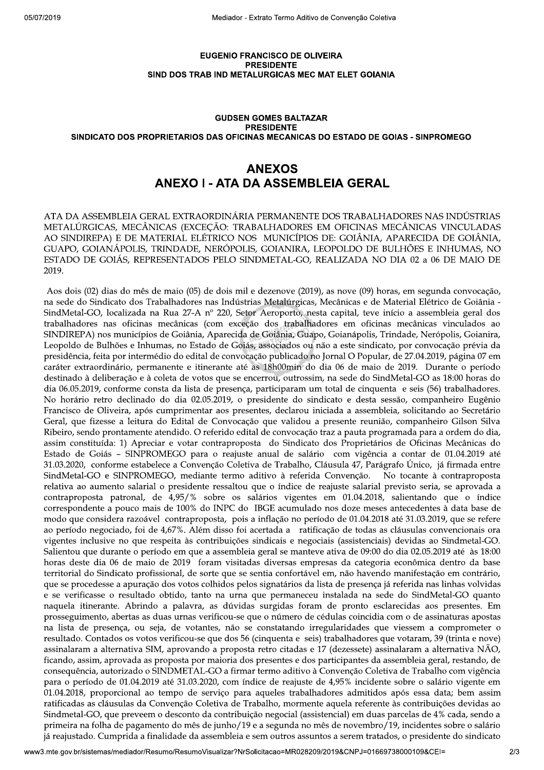#### **EUGENIO FRANCISCO DE OLIVEIRA PRESIDENTE** SIND DOS TRAB IND METALURGICAS MEC MAT ELET GOIANIA

### **GUDSEN GOMES BALTAZAR PRESIDENTE** SINDICATO DOS PROPRIETARIOS DAS OFICINAS MECANICAS DO ESTADO DE GOIAS - SINPROMEGO

# **ANEXOS ANEXO I - ATA DA ASSEMBLEIA GERAL**

ATA DA ASSEMBLEIA GERAL EXTRAORDINÁRIA PERMANENTE DOS TRABALHADORES NAS INDÚSTRIAS METALÚRGICAS, MECÂNICAS (EXCEÇÃO: TRABALHADORES EM OFICINAS MECÂNICAS VINCULADAS AO SINDIREPA) E DE MATERIAL ELÉTRICO NOS MUNICÍPIOS DE: GOIÂNIA, APARECIDA DE GOIÂNIA, GUAPO, GOIANÁPOLIS, TRINDADE, NERÓPOLIS, GOIANIRA, LEOPOLDO DE BULHÕES E INHUMAS, NO ESTADO DE GOIÁS, REPRESENTADOS PELO SINDMETAL-GO, REALIZADA NO DIA 02 a 06 DE MAIO DE 2019.

Aos dois (02) dias do mês de maio (05) de dois mil e dezenove (2019), as nove (09) horas, em segunda convocação, na sede do Sindicato dos Trabalhadores nas Indústrias Metalúrgicas, Mecânicas e de Material Elétrico de Goiânia -SindMetal-GO, localizada na Rua 27-A nº 220, Setor Aeroporto, nesta capital, teve início a assembleia geral dos trabalhadores nas oficinas mecânicas (com exceção dos trabalhadores em oficinas mecânicas vinculados ao SINDIREPA) nos municípios de Goiânia, Aparecida de Goiânia, Guapo, Goianápolis, Trindade, Nerópolis, Goianira, Leopoldo de Bulhões e Inhumas, no Estado de Goiás, associados ou não a este sindicato, por convocação prévia da presidência, feita por intermédio do edital de convocação publicado no Jornal O Popular, de 27.04.2019, página 07 em caráter extraordinário, permanente e itinerante até as 18h00min do dia 06 de maio de 2019. Durante o período destinado à deliberação e à coleta de votos que se encerrou, outrossim, na sede do SindMetal-GO as 18:00 horas do dia 06.05.2019, conforme consta da lista de presença, participaram um total de cinquenta e seis (56) trabalhadores. No horário retro declinado do dia 02.05.2019, o presidente do sindicato e desta sessão, companheiro Eugênio Francisco de Oliveira, após cumprimentar aos presentes, declarou iniciada a assembleia, solicitando ao Secretário Geral, que fizesse a leitura do Edital de Convocação que validou a presente reunião, companheiro Gilson Silva Ribeiro, sendo prontamente atendido. O referido edital de convocação traz a pauta programada para a ordem do dia, assim constituída: 1) Apreciar e votar contraproposta do Sindicato dos Proprietários de Oficinas Mecânicas do Estado de Goiás - SINPROMEGO para o reajuste anual de salário com vigência a contar de 01.04.2019 até 31.03.2020, conforme estabelece a Convenção Coletiva de Trabalho, Cláusula 47, Parágrafo Único, já firmada entre SindMetal-GO e SINPROMEGO, mediante termo aditivo à referida Convenção. No tocante à contraproposta relativa ao aumento salarial o presidente ressaltou que o índice de reajuste salarial previsto seria, se aprovada a contraproposta patronal, de 4,95/% sobre os salários vigentes em 01.04.2018, salientando que o índice correspondente a pouco mais de 100% do INPC do IBGE acumulado nos doze meses antecedentes à data base de modo que considera razoável contraproposta, pois a inflação no período de 01.04.2018 até 31.03.2019, que se refere ao período negociado, foi de 4,67%. Além disso foi acertada a ratificação de todas as cláusulas convencionais ora vigentes inclusive no que respeita às contribuições sindicais e negociais (assistenciais) devidas ao Sindmetal-GO. Salientou que durante o período em que a assembleia geral se manteve ativa de 09:00 do dia 02.05.2019 até às 18:00 horas deste dia 06 de maio de 2019 foram visitadas diversas empresas da categoria econômica dentro da base territorial do Sindicato profissional, de sorte que se sentia confortável em, não havendo manifestação em contrário, que se procedesse a apuração dos votos colhidos pelos signatários da lista de presença já referida nas linhas volvidas e se verificasse o resultado obtido, tanto na urna que permaneceu instalada na sede do SindMetal-GO quanto naquela itinerante. Abrindo a palavra, as dúvidas surgidas foram de pronto esclarecidas aos presentes. Em prosseguimento, abertas as duas urnas verificou-se que o número de cédulas coincidia com o de assinaturas apostas na lista de presença, ou seja, de votantes, não se constatando irregularidades que viessem a comprometer o resultado. Contados os votos verificou-se que dos 56 (cinquenta e seis) trabalhadores que votaram, 39 (trinta e nove) assinalaram a alternativa SIM, aprovando a proposta retro citadas e 17 (dezessete) assinalaram a alternativa NÃO, ficando, assim, aprovada as proposta por maioria dos presentes e dos participantes da assembleia geral, restando, de consequência, autorizado o SINDMETAL-GO a firmar termo aditivo à Convenção Coletiva de Trabalho com vigência para o período de 01.04.2019 até 31.03.2020, com índice de reajuste de 4,95% incidente sobre o salário vigente em 01.04.2018, proporcional ao tempo de serviço para aqueles trabalhadores admitidos após essa data; bem assim ratificadas as cláusulas da Convenção Coletiva de Trabalho, mormente aquela referente às contribuições devidas ao Sindmetal-GO, que preveem o desconto da contribuição negocial (assistencial) em duas parcelas de 4% cada, sendo a primeira na folha de pagamento do mês de junho/19 e a segunda no mês de novembro/19, incidentes sobre o salário já reajustado. Cumprida a finalidade da assembleia e sem outros assuntos a serem tratados, o presidente do sindicato